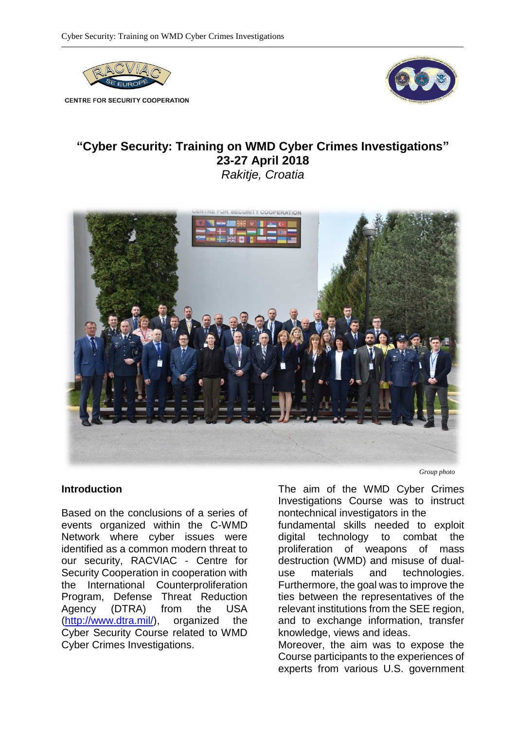

**CENTRE FOR SECURITY COOPERATION** 



## **"Cyber Security: Training on WMD Cyber Crimes Investigations" 23-27 April 2018** *Rakitje, Croatia*



## **Introduction**

Based on the conclusions of a series of events organized within the C-WMD Network where cyber issues were identified as a common modern threat to our security, RACVIAC - Centre for Security Cooperation in cooperation with the International Counterproliferation Program, Defense Threat Reduction Agency (DTRA) from the USA [\(http://www.dtra.mil/\)](http://www.dtra.mil/), organized the Cyber Security Course related to WMD Cyber Crimes Investigations.

*Group photo*

The aim of the WMD Cyber Crimes Investigations Course was to instruct nontechnical investigators in the fundamental skills needed to exploit digital technology to combat the proliferation of weapons of mass destruction (WMD) and misuse of dualuse materials and technologies. Furthermore, the goal was to improve the ties between the representatives of the relevant institutions from the SEE region, and to exchange information, transfer knowledge, views and ideas.

Moreover, the aim was to expose the Course participants to the experiences of experts from various U.S. government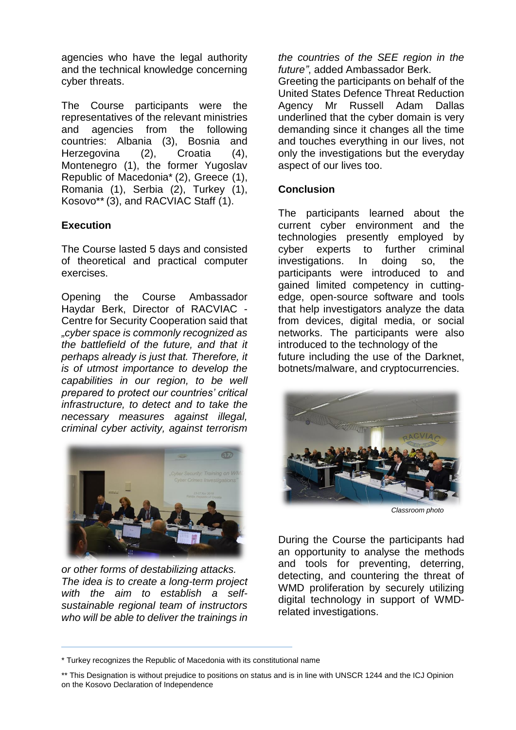agencies who have the legal authority and the technical knowledge concerning cyber threats.

The Course participants were the representatives of the relevant ministries and agencies from the following countries: Albania (3), Bosnia and Herzegovina (2), Croatia (4), Montenegro (1), the former Yugoslav Republic of Macedonia\* (2), Greece (1), Romania (1), Serbia (2), Turkey (1), Kosovo\*\* (3), and RACVIAC Staff (1).

## **Execution**

The Course lasted 5 days and consisted of theoretical and practical computer exercises.

Opening the Course Ambassador Haydar Berk, Director of RACVIAC - Centre for Security Cooperation said that *"cyber space is commonly recognized as the battlefield of the future, and that it perhaps already is just that. Therefore, it is of utmost importance to develop the capabilities in our region, to be well prepared to protect our countries' critical infrastructure, to detect and to take the necessary measures against illegal, criminal cyber activity, against terrorism* 



*or other forms of destabilizing attacks. The idea is to create a long-term project with the aim to establish a selfsustainable regional team of instructors who will be able to deliver the trainings in* 

*the countries of the SEE region in the future"*, added Ambassador Berk.

Greeting the participants on behalf of the United States Defence Threat Reduction Agency Mr Russell Adam Dallas underlined that the cyber domain is very demanding since it changes all the time and touches everything in our lives, not only the investigations but the everyday aspect of our lives too.

## **Conclusion**

The participants learned about the current cyber environment and the technologies presently employed by cyber experts to further criminal investigations. In doing so, the participants were introduced to and gained limited competency in cuttingedge, open-source software and tools that help investigators analyze the data from devices, digital media, or social networks. The participants were also introduced to the technology of the future including the use of the Darknet, botnets/malware, and cryptocurrencies.



*Classroom photo*

During the Course the participants had an opportunity to analyse the methods and tools for preventing, deterring, detecting, and countering the threat of WMD proliferation by securely utilizing digital technology in support of WMDrelated investigations.

<sup>\*</sup> Turkey recognizes the Republic of Macedonia with its constitutional name

<sup>\*\*</sup> This Designation is without prejudice to positions on status and is in line with UNSCR 1244 and the ICJ Opinion on the Kosovo Declaration of Independence